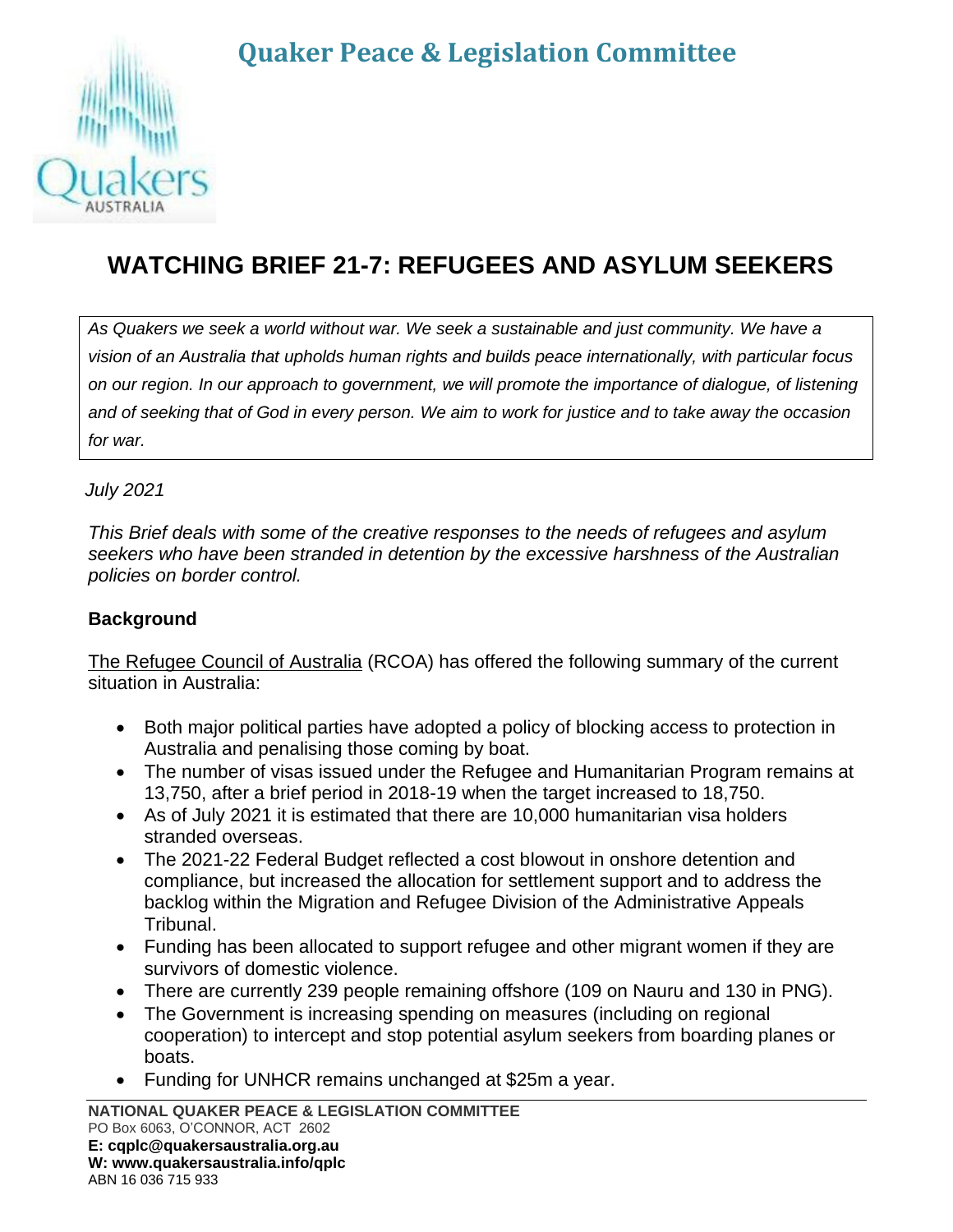# **Quaker Peace & Legislation Committee**



## **WATCHING BRIEF 21-7: REFUGEES AND ASYLUM SEEKERS**

*As Quakers we seek a world without war. We seek a sustainable and just community. We have a vision of an Australia that upholds human rights and builds peace internationally, with particular focus on our region. In our approach to government, we will promote the importance of dialogue, of listening and of seeking that of God in every person. We aim to work for justice and to take away the occasion for war.*

*July 2021*

*This Brief deals with some of the creative responses to the needs of refugees and asylum seekers who have been stranded in detention by the excessive harshness of the Australian policies on border control.*

#### **Background**

The Refugee Council of Australia (RCOA) has offered the following summary of the current situation in Australia:

- Both major political parties have adopted a policy of blocking access to protection in Australia and penalising those coming by boat.
- The number of visas issued under the Refugee and Humanitarian Program remains at 13,750, after a brief period in 2018-19 when the target increased to 18,750.
- As of July 2021 it is estimated that there are 10,000 humanitarian visa holders stranded overseas.
- The 2021-22 Federal Budget reflected a cost blowout in onshore detention and compliance, but increased the allocation for settlement support and to address the backlog within the Migration and Refugee Division of the Administrative Appeals Tribunal.
- Funding has been allocated to support refugee and other migrant women if they are survivors of domestic violence.
- There are currently 239 people remaining offshore (109 on Nauru and 130 in PNG).
- The Government is increasing spending on measures (including on regional cooperation) to intercept and stop potential asylum seekers from boarding planes or boats.
- Funding for UNHCR remains unchanged at \$25m a year.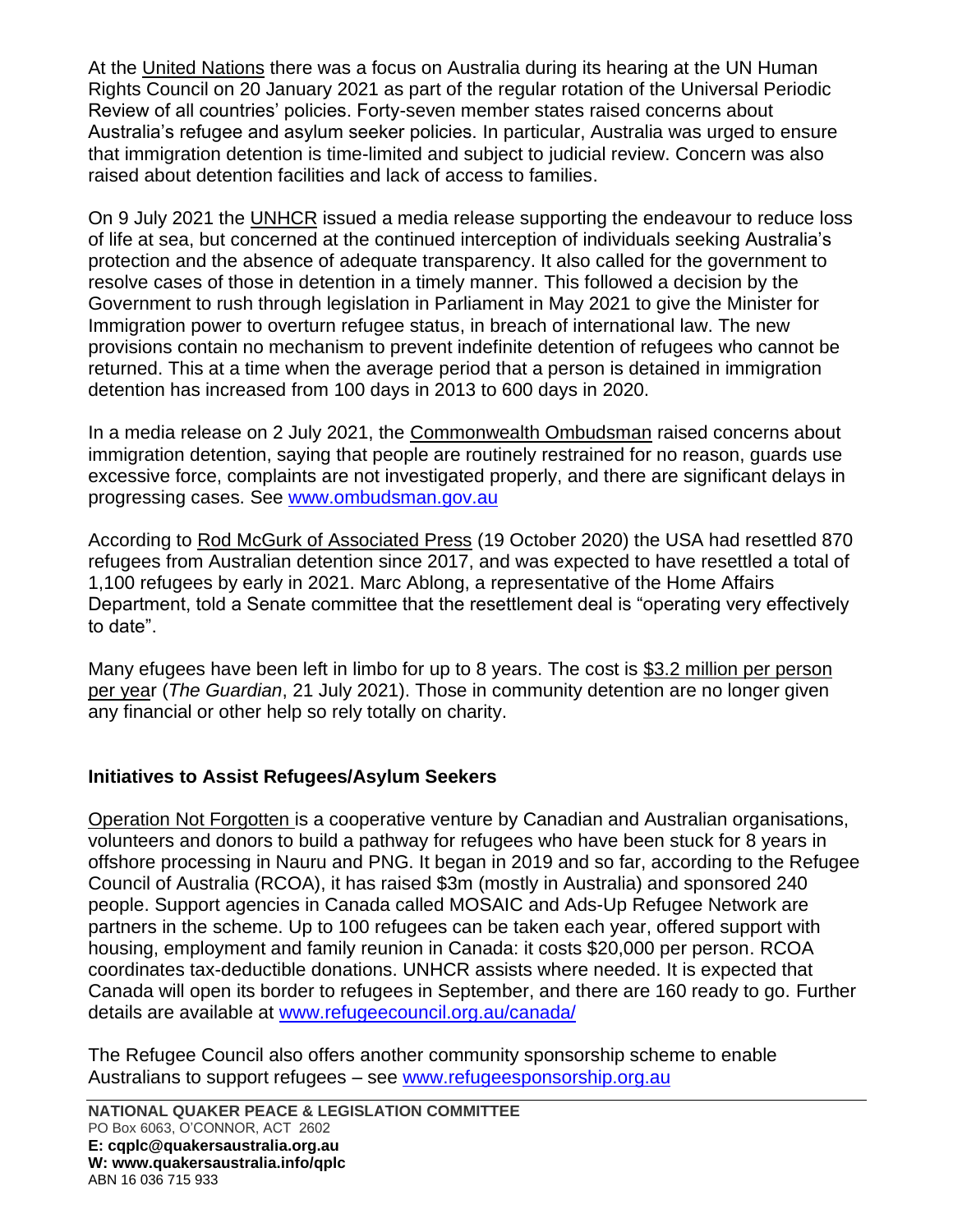At the United Nations there was a focus on Australia during its hearing at the UN Human Rights Council on 20 January 2021 as part of the regular rotation of the Universal Periodic Review of all countries' policies. Forty-seven member states raised concerns about Australia's refugee and asylum seeker policies. In particular, Australia was urged to ensure that immigration detention is time-limited and subject to judicial review. Concern was also raised about detention facilities and lack of access to families.

On 9 July 2021 the UNHCR issued a media release supporting the endeavour to reduce loss of life at sea, but concerned at the continued interception of individuals seeking Australia's protection and the absence of adequate transparency. It also called for the government to resolve cases of those in detention in a timely manner. This followed a decision by the Government to rush through legislation in Parliament in May 2021 to give the Minister for Immigration power to overturn refugee status, in breach of international law. The new provisions contain no mechanism to prevent indefinite detention of refugees who cannot be returned. This at a time when the average period that a person is detained in immigration detention has increased from 100 days in 2013 to 600 days in 2020.

In a media release on 2 July 2021, the Commonwealth Ombudsman raised concerns about immigration detention, saying that people are routinely restrained for no reason, guards use excessive force, complaints are not investigated properly, and there are significant delays in progressing cases. See [www.ombudsman.gov.au](http://www.ombudsman.gov.au/)

According to Rod McGurk of Associated Press (19 October 2020) the USA had resettled 870 refugees from Australian detention since 2017, and was expected to have resettled a total of 1,100 refugees by early in 2021. Marc Ablong, a representative of the Home Affairs Department, told a Senate committee that the resettlement deal is "operating very effectively to date".

Many efugees have been left in limbo for up to 8 years. The cost is \$3.2 million per person per year (*The Guardian*, 21 July 2021). Those in community detention are no longer given any financial or other help so rely totally on charity.

### **Initiatives to Assist Refugees/Asylum Seekers**

Operation Not Forgotten is a cooperative venture by Canadian and Australian organisations, volunteers and donors to build a pathway for refugees who have been stuck for 8 years in offshore processing in Nauru and PNG. It began in 2019 and so far, according to the Refugee Council of Australia (RCOA), it has raised \$3m (mostly in Australia) and sponsored 240 people. Support agencies in Canada called MOSAIC and Ads-Up Refugee Network are partners in the scheme. Up to 100 refugees can be taken each year, offered support with housing, employment and family reunion in Canada: it costs \$20,000 per person. RCOA coordinates tax-deductible donations. UNHCR assists where needed. It is expected that Canada will open its border to refugees in September, and there are 160 ready to go. Further details are available at [www.refugeecouncil.org.au/canada/](http://www.refugeecouncil.org.au/canada/)

The Refugee Council also offers another community sponsorship scheme to enable Australians to support refugees - see [www.refugeesponsorship.org.au](http://www.refugeesponsorship.org.au/)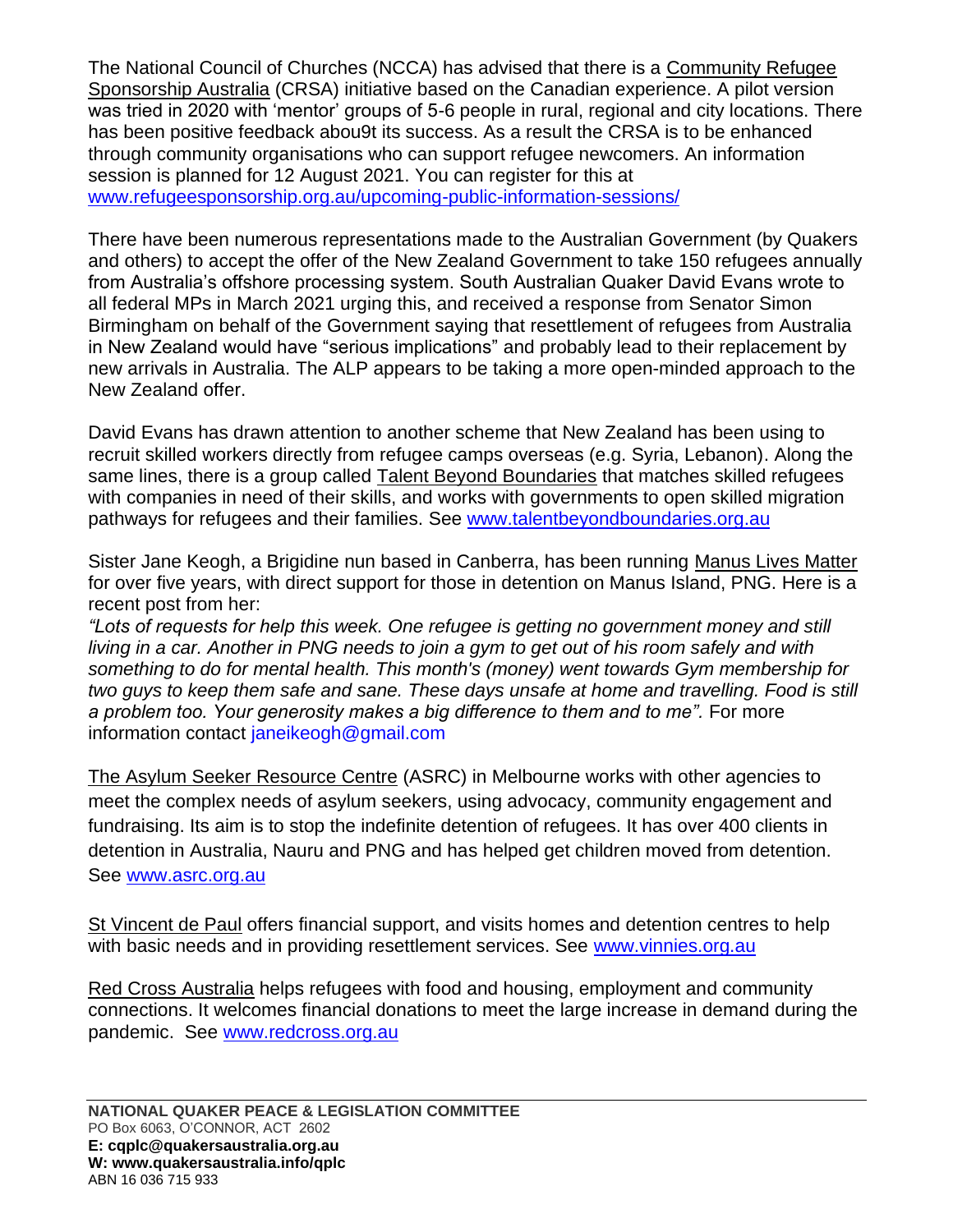The National Council of Churches (NCCA) has advised that there is a Community Refugee Sponsorship Australia (CRSA) initiative based on the Canadian experience. A pilot version was tried in 2020 with 'mentor' groups of 5-6 people in rural, regional and city locations. There has been positive feedback abou9t its success. As a result the CRSA is to be enhanced through community organisations who can support refugee newcomers. An information session is planned for 12 August 2021. You can register for this at [www.refugeesponsorship.org.au/upcoming-public-information-sessions/](http://www.refugeesponsorship.org.au/upcoming-public-information-sessions/)

There have been numerous representations made to the Australian Government (by Quakers and others) to accept the offer of the New Zealand Government to take 150 refugees annually from Australia's offshore processing system. South Australian Quaker David Evans wrote to all federal MPs in March 2021 urging this, and received a response from Senator Simon Birmingham on behalf of the Government saying that resettlement of refugees from Australia in New Zealand would have "serious implications" and probably lead to their replacement by new arrivals in Australia. The ALP appears to be taking a more open-minded approach to the New Zealand offer.

David Evans has drawn attention to another scheme that New Zealand has been using to recruit skilled workers directly from refugee camps overseas (e.g. Syria, Lebanon). Along the same lines, there is a group called Talent Beyond Boundaries that matches skilled refugees with companies in need of their skills, and works with governments to open skilled migration pathways for refugees and their families. See [www.talentbeyondboundaries.org.au](http://www.talentbeyondboundaries.org.au/)

Sister Jane Keogh, a Brigidine nun based in Canberra, has been running Manus Lives Matter for over five years, with direct support for those in detention on Manus Island, PNG. Here is a recent post from her:

*"Lots of requests for help this week. One refugee is getting no government money and still living in a car. Another in PNG needs to join a gym to get out of his room safely and with something to do for mental health. This month's (money) went towards Gym membership for two guys to keep them safe and sane. These days unsafe at home and travelling. Food is still a problem too. Your generosity makes a big difference to them and to me".* For more information contact janeikeogh@gmail.com

The Asylum Seeker Resource Centre (ASRC) in Melbourne works with other agencies to meet the complex needs of asylum seekers, using advocacy, community engagement and fundraising. Its aim is to stop the indefinite detention of refugees. It has over 400 clients in detention in Australia, Nauru and PNG and has helped get children moved from detention. See [www.asrc.org.au](http://www.asrc.org.au/)

St Vincent de Paul offers financial support, and visits homes and detention centres to help with basic needs and in providing resettlement services. See [www.vinnies.org.au](http://www.vinnies.org.au/)

Red Cross Australia helps refugees with food and housing, employment and community connections. It welcomes financial donations to meet the large increase in demand during the pandemic. See [www.redcross.org.au](http://www.redcross.org.au/)